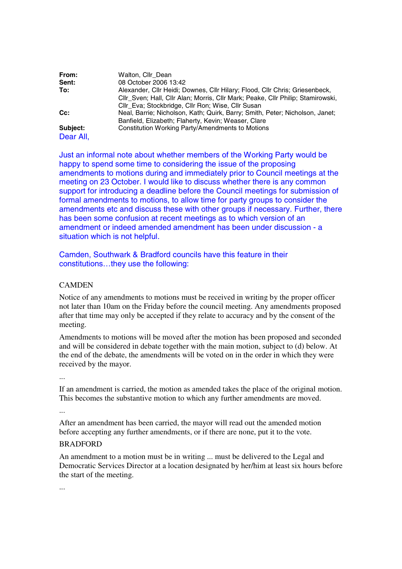| From:     | Walton, Cllr Dean                                                               |
|-----------|---------------------------------------------------------------------------------|
| Sent:     | 08 October 2006 13:42                                                           |
| To:       | Alexander, Cllr Heidi; Downes, Cllr Hilary; Flood, Cllr Chris; Griesenbeck,     |
|           | CIIr Sven; Hall, CIIr Alan; Morris, CIIr Mark; Peake, CIIr Philip; Stamirowski, |
|           | CIIr Eva; Stockbridge, CIIr Ron; Wise, CIIr Susan                               |
| Cc:       | Neal, Barrie; Nicholson, Kath; Quirk, Barry; Smith, Peter; Nicholson, Janet;    |
|           | Banfield, Elizabeth; Flaherty, Kevin; Weaser, Clare                             |
| Subject:  | Constitution Working Party/Amendments to Motions                                |
| Dear All, |                                                                                 |

Just an informal note about whether members of the Working Party would be happy to spend some time to considering the issue of the proposing amendments to motions during and immediately prior to Council meetings at the meeting on 23 October. I would like to discuss whether there is any common support for introducing a deadline before the Council meetings for submission of formal amendments to motions, to allow time for party groups to consider the amendments etc and discuss these with other groups if necessary. Further, there has been some confusion at recent meetings as to which version of an amendment or indeed amended amendment has been under discussion - a situation which is not helpful.

Camden, Southwark & Bradford councils have this feature in their constitutions…they use the following:

## **CAMDEN**

Notice of any amendments to motions must be received in writing by the proper officer not later than 10am on the Friday before the council meeting. Any amendments proposed after that time may only be accepted if they relate to accuracy and by the consent of the meeting.

Amendments to motions will be moved after the motion has been proposed and seconded and will be considered in debate together with the main motion, subject to (d) below. At the end of the debate, the amendments will be voted on in the order in which they were received by the mayor.

...

If an amendment is carried, the motion as amended takes the place of the original motion. This becomes the substantive motion to which any further amendments are moved.

...

After an amendment has been carried, the mayor will read out the amended motion before accepting any further amendments, or if there are none, put it to the vote.

## BRADFORD

An amendment to a motion must be in writing ... must be delivered to the Legal and Democratic Services Director at a location designated by her/him at least six hours before the start of the meeting.

...